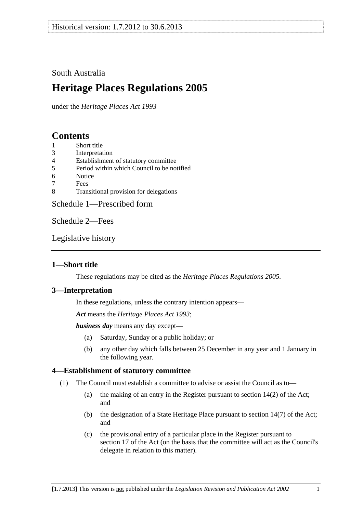# <span id="page-0-0"></span>South Australia

# **Heritage Places Regulations 2005**

under the *Heritage Places Act 1993*

# **Contents**

- [1 Short title](#page-0-0)
- [3 Interpretation](#page-0-0)
- [4 Establishment of statutory committee](#page-0-0)
- [5 Period within which Council to be notified](#page-1-0)
- [6 Notice](#page-1-0)
- [7 Fees](#page-1-0)
- [8 Transitional provision for delegations](#page-1-0)

[Schedule 1—Prescribed form](#page-2-0) 

[Schedule 2—Fees](#page-4-0) 

[Legislative history](#page-6-0) 

# **1—Short title**

These regulations may be cited as the *Heritage Places Regulations 2005*.

## **3—Interpretation**

In these regulations, unless the contrary intention appears—

*Act* means the *[Heritage Places Act 1993](http://www.legislation.sa.gov.au/index.aspx?action=legref&type=act&legtitle=Heritage%20Places%20Act%201993)*;

*business day* means any day except—

- (a) Saturday, Sunday or a public holiday; or
- (b) any other day which falls between 25 December in any year and 1 January in the following year.

# **4—Establishment of statutory committee**

- (1) The Council must establish a committee to advise or assist the Council as to—
	- (a) the making of an entry in the Register pursuant to section 14(2) of the Act; and
	- (b) the designation of a State Heritage Place pursuant to section 14(7) of the Act; and
	- (c) the provisional entry of a particular place in the Register pursuant to section 17 of the Act (on the basis that the committee will act as the Council's delegate in relation to this matter).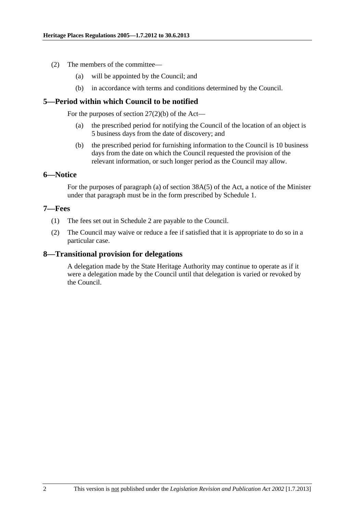- <span id="page-1-0"></span> (2) The members of the committee—
	- (a) will be appointed by the Council; and
	- (b) in accordance with terms and conditions determined by the Council.

### **5—Period within which Council to be notified**

For the purposes of section  $27(2)(b)$  of the Act—

- (a) the prescribed period for notifying the Council of the location of an object is 5 business days from the date of discovery; and
- (b) the prescribed period for furnishing information to the Council is 10 business days from the date on which the Council requested the provision of the relevant information, or such longer period as the Council may allow.

#### **6—Notice**

For the purposes of paragraph (a) of section 38A(5) of the Act, a notice of the Minister under that paragraph must be in the form prescribed by [Schedule 1.](#page-2-0)

#### **7—Fees**

- (1) The fees set out in [Schedule 2](#page-4-0) are payable to the Council.
- (2) The Council may waive or reduce a fee if satisfied that it is appropriate to do so in a particular case.

### **8—Transitional provision for delegations**

A delegation made by the State Heritage Authority may continue to operate as if it were a delegation made by the Council until that delegation is varied or revoked by the Council.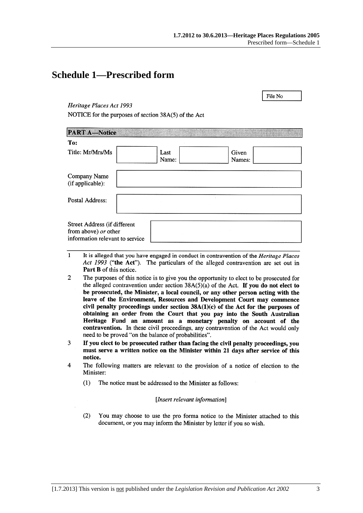File No

# <span id="page-2-0"></span>**Schedule 1—Prescribed form**

#### Heritage Places Act 1993

NOTICE for the purposes of section 38A(5) of the Act

| <b>PART A-Notice</b>                                                                    |               |                 |  |
|-----------------------------------------------------------------------------------------|---------------|-----------------|--|
| To:                                                                                     |               |                 |  |
| Title: Mr/Mrs/Ms                                                                        | Last<br>Name: | Given<br>Names: |  |
| Company Name<br>(if applicable):                                                        |               |                 |  |
| Postal Address:                                                                         |               |                 |  |
| Street Address (if different<br>from above) or other<br>information relevant to service |               |                 |  |

- $\mathbf{1}$ It is alleged that you have engaged in conduct in contravention of the *Heritage Places* Act 1993 ("the Act"). The particulars of the alleged contravention are set out in Part B of this notice.
- $\overline{2}$ The purposes of this notice is to give you the opportunity to elect to be prosecuted for the alleged contravention under section  $38A(5)(a)$  of the Act. If you do not elect to be prosecuted, the Minister, a local council, or any other person acting with the leave of the Environment, Resources and Development Court may commence civil penalty proceedings under section  $38A(1)(c)$  of the Act for the purposes of obtaining an order from the Court that you pay into the South Australian Heritage Fund an amount as a monetary penalty on account of the contravention. In these civil proceedings, any contravention of the Act would only need to be proved "on the balance of probabilities".
- If you elect to be prosecuted rather than facing the civil penalty proceedings, you 3 must serve a written notice on the Minister within 21 days after service of this notice.
- $\overline{\mathbf{A}}$ The following matters are relevant to the provision of a notice of election to the Minister:
	- $(1)$ The notice must be addressed to the Minister as follows:

#### [Insert relevant information]

 $(2)$ You may choose to use the pro forma notice to the Minister attached to this document, or you may inform the Minister by letter if you so wish.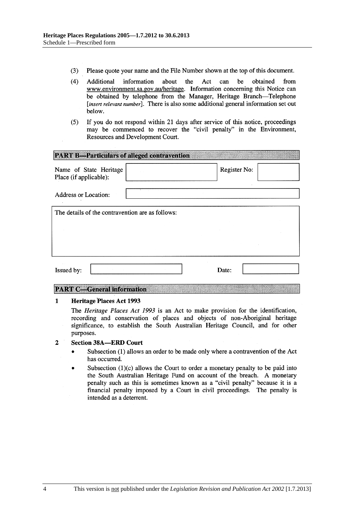- $(3)$ Please quote your name and the File Number shown at the top of this document.
- $(4)$ be Additional information about the Act can obtained from www.environment.sa.gov.au/heritage. Information concerning this Notice can be obtained by telephone from the Manager, Heritage Branch-Telephone [insert relevant number]. There is also some additional general information set out below.
- If you do not respond within 21 days after service of this notice, proceedings  $(5)$ may be commenced to recover the "civil penalty" in the Environment, Resources and Development Court.

| <b>PART B-Particulars of alleged contravention</b> |              |
|----------------------------------------------------|--------------|
| Name of State Heritage<br>Place (if applicable):   | Register No: |
| <b>Address or Location:</b>                        |              |
| The details of the contravention are as follows:   |              |
|                                                    |              |
|                                                    |              |
| Issued by:                                         | Date:        |

#### **PART C-General information**

#### $\mathbf{1}$ **Heritage Places Act 1993**

The Heritage Places Act 1993 is an Act to make provision for the identification, recording and conservation of places and objects of non-Aboriginal heritage significance, to establish the South Australian Heritage Council, and for other purposes.

#### $\overline{2}$ **Section 38A-ERD Court**

- Subsection (1) allows an order to be made only where a contravention of the Act has occurred.
- Subsection  $(1)(c)$  allows the Court to order a monetary penalty to be paid into the South Australian Heritage Fund on account of the breach. A monetary penalty such as this is sometimes known as a "civil penalty" because it is a financial penalty imposed by a Court in civil proceedings. The penalty is intended as a deterrent.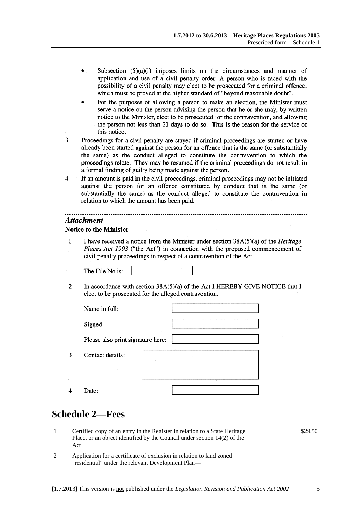- <span id="page-4-0"></span>Subsection  $(5)(a)(i)$  imposes limits on the circumstances and manner of application and use of a civil penalty order. A person who is faced with the possibility of a civil penalty may elect to be prosecuted for a criminal offence, which must be proved at the higher standard of "beyond reasonable doubt".
- For the purposes of allowing a person to make an election, the Minister must serve a notice on the person advising the person that he or she may, by written notice to the Minister, elect to be prosecuted for the contravention, and allowing the person not less than 21 days to do so. This is the reason for the service of this notice.
- 3 Proceedings for a civil penalty are stayed if criminal proceedings are started or have already been started against the person for an offence that is the same (or substantially the same) as the conduct alleged to constitute the contravention to which the proceedings relate. They may be resumed if the criminal proceedings do not result in a formal finding of guilty being made against the person.
- $\overline{4}$ If an amount is paid in the civil proceedings, criminal proceedings may not be initiated against the person for an offence constituted by conduct that is the same (or substantially the same) as the conduct alleged to constitute the contravention in relation to which the amount has been paid.

#### **Attachment**

#### **Notice to the Minister**

 $\overline{1}$ I have received a notice from the Minister under section  $38A(5)(a)$  of the *Heritage* Places Act 1993 ("the Act") in connection with the proposed commencement of civil penalty proceedings in respect of a contravention of the Act.

The File No is:

 $\mathcal{L}$ In accordance with section  $38A(5)(a)$  of the Act I HEREBY GIVE NOTICE that I elect to be prosecuted for the alleged contravention.

| Name in full:                     |  |  |
|-----------------------------------|--|--|
| Signed:                           |  |  |
| Please also print signature here: |  |  |
| Contact details:                  |  |  |
| Date:                             |  |  |

# **Schedule 2—Fees**

 $\overline{3}$ 

 $\overline{4}$ 

- 1 Certified copy of an entry in the Register in relation to a State Heritage Place, or an object identified by the Council under section 14(2) of the Act
- 2 Application for a certificate of exclusion in relation to land zoned "residential" under the relevant Development Plan—

\$29.50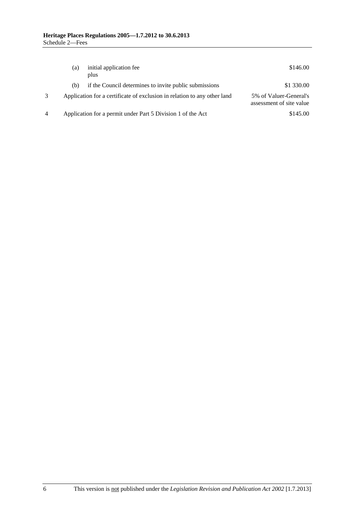|   | (a) | initial application fee<br>plus                                          | \$146.00                                           |
|---|-----|--------------------------------------------------------------------------|----------------------------------------------------|
|   | (b) | if the Council determines to invite public submissions                   | \$1 330.00                                         |
|   |     | Application for a certificate of exclusion in relation to any other land | 5% of Valuer-General's<br>assessment of site value |
| 4 |     | Application for a permit under Part 5 Division 1 of the Act              | \$145.00                                           |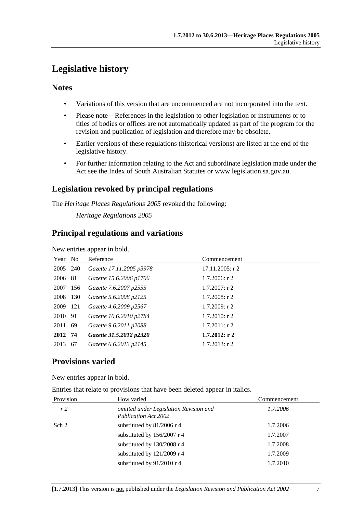# <span id="page-6-0"></span>**Legislative history**

## **Notes**

- Variations of this version that are uncommenced are not incorporated into the text.
- Please note—References in the legislation to other legislation or instruments or to titles of bodies or offices are not automatically updated as part of the program for the revision and publication of legislation and therefore may be obsolete.
- Earlier versions of these regulations (historical versions) are listed at the end of the legislative history.
- For further information relating to the Act and subordinate legislation made under the Act see the Index of South Australian Statutes or www.legislation.sa.gov.au.

# **Legislation revoked by principal regulations**

The *Heritage Places Regulations 2005* revoked the following:

*Heritage Regulations 2005*

# **Principal regulations and variations**

New entries appear in bold.

| Year No  |      | Reference                | Commencement       |
|----------|------|--------------------------|--------------------|
| 2005 240 |      | Gazette 17.11.2005 p3978 | $17.11.2005$ : r 2 |
| 2006 81  |      | Gazette 15.6.2006 p1706  | $1.7.2006$ : r 2   |
| 2007     | 156  | Gazette 7.6.2007 p2555   | $1.7.2007$ : r 2   |
| 2008     | 130  | Gazette 5.6.2008 p2125   | $1.7.2008$ : r 2   |
| 2009 121 |      | Gazette 4.6.2009 p2567   | $1.7.2009$ : r 2   |
| 2010 91  |      | Gazette 10.6.2010 p2784  | $1.7.2010$ : r 2   |
| 2011 69  |      | Gazette 9.6.2011 p2088   | $1.7.2011:$ r 2    |
| 2012 74  |      | Gazette 31.5.2012 p2320  | $1.7.2012:$ r 2    |
| 2013     | - 67 | Gazette 6.6.2013 p2145   | $1.7.2013$ : r 2   |

# **Provisions varied**

New entries appear in bold.

Entries that relate to provisions that have been deleted appear in italics.

| Provision      | How varied                                                            | Commencement |
|----------------|-----------------------------------------------------------------------|--------------|
| r <sub>2</sub> | omitted under Legislation Revision and<br><b>Publication Act 2002</b> | 1.7.2006     |
| Sch 2          | substituted by 81/2006 r 4                                            | 1.7.2006     |
|                | substituted by 156/2007 r 4                                           | 1.7.2007     |
|                | substituted by 130/2008 r 4                                           | 1.7.2008     |
|                | substituted by $121/2009$ r 4                                         | 1.7.2009     |
|                | substituted by 91/2010 r 4                                            | 1.7.2010     |